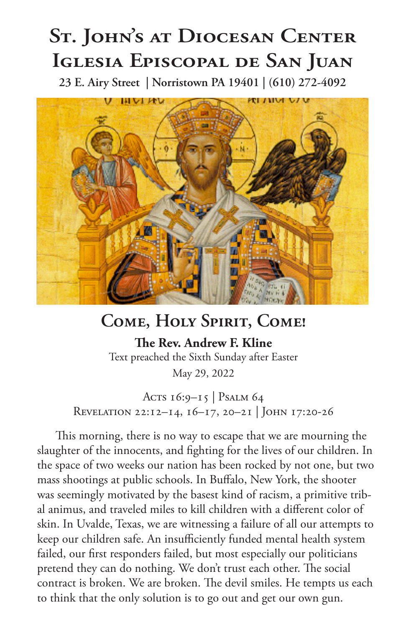## **St. John's at Diocesan Center Iglesia Episcopal de San Juan**

**23 E. Airy Street | Norristown PA 19401 | (610) 272-4092**



## **Come, Holy Spirit, Come!**

**The Rev. Andrew F. Kline** Text preached the Sixth Sunday after Easter May 29, 2022

Acts 16:9-15 | Psalm 64 Revelation 22:12–14, 16–17, 20–21 | John 17:20-26

This morning, there is no way to escape that we are mourning the slaughter of the innocents, and fighting for the lives of our children. In the space of two weeks our nation has been rocked by not one, but two mass shootings at public schools. In Buffalo, New York, the shooter was seemingly motivated by the basest kind of racism, a primitive tribal animus, and traveled miles to kill children with a different color of skin. In Uvalde, Texas, we are witnessing a failure of all our attempts to keep our children safe. An insufficiently funded mental health system failed, our first responders failed, but most especially our politicians pretend they can do nothing. We don't trust each other. The social contract is broken. We are broken. The devil smiles. He tempts us each to think that the only solution is to go out and get our own gun.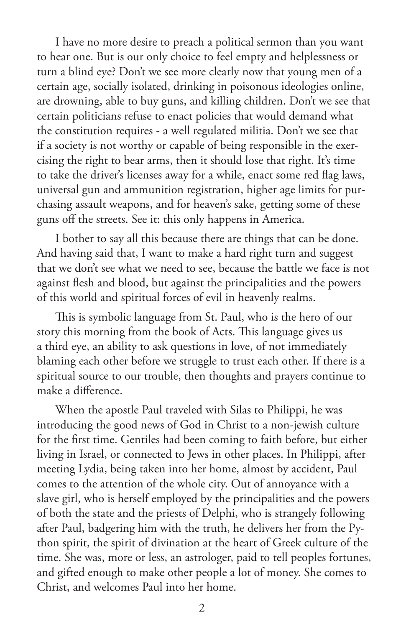I have no more desire to preach a political sermon than you want to hear one. But is our only choice to feel empty and helplessness or turn a blind eye? Don't we see more clearly now that young men of a certain age, socially isolated, drinking in poisonous ideologies online, are drowning, able to buy guns, and killing children. Don't we see that certain politicians refuse to enact policies that would demand what the constitution requires - a well regulated militia. Don't we see that if a society is not worthy or capable of being responsible in the exercising the right to bear arms, then it should lose that right. It's time to take the driver's licenses away for a while, enact some red flag laws, universal gun and ammunition registration, higher age limits for purchasing assault weapons, and for heaven's sake, getting some of these guns off the streets. See it: this only happens in America.

I bother to say all this because there are things that can be done. And having said that, I want to make a hard right turn and suggest that we don't see what we need to see, because the battle we face is not against flesh and blood, but against the principalities and the powers of this world and spiritual forces of evil in heavenly realms.

This is symbolic language from St. Paul, who is the hero of our story this morning from the book of Acts. This language gives us a third eye, an ability to ask questions in love, of not immediately blaming each other before we struggle to trust each other. If there is a spiritual source to our trouble, then thoughts and prayers continue to make a difference.

When the apostle Paul traveled with Silas to Philippi, he was introducing the good news of God in Christ to a non-jewish culture for the first time. Gentiles had been coming to faith before, but either living in Israel, or connected to Jews in other places. In Philippi, after meeting Lydia, being taken into her home, almost by accident, Paul comes to the attention of the whole city. Out of annoyance with a slave girl, who is herself employed by the principalities and the powers of both the state and the priests of Delphi, who is strangely following after Paul, badgering him with the truth, he delivers her from the Python spirit, the spirit of divination at the heart of Greek culture of the time. She was, more or less, an astrologer, paid to tell peoples fortunes, and gifted enough to make other people a lot of money. She comes to Christ, and welcomes Paul into her home.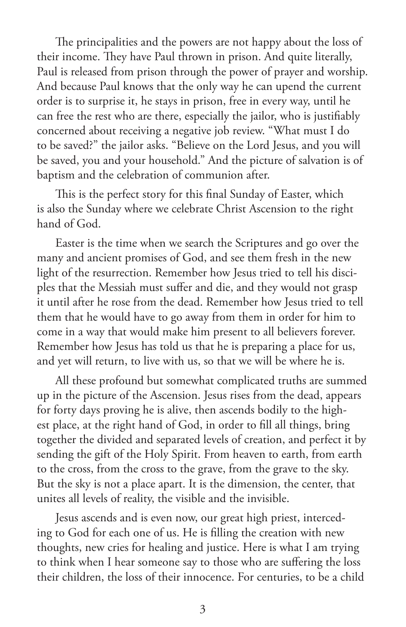The principalities and the powers are not happy about the loss of their income. They have Paul thrown in prison. And quite literally, Paul is released from prison through the power of prayer and worship. And because Paul knows that the only way he can upend the current order is to surprise it, he stays in prison, free in every way, until he can free the rest who are there, especially the jailor, who is justifiably concerned about receiving a negative job review. "What must I do to be saved?" the jailor asks. "Believe on the Lord Jesus, and you will be saved, you and your household." And the picture of salvation is of baptism and the celebration of communion after.

This is the perfect story for this final Sunday of Easter, which is also the Sunday where we celebrate Christ Ascension to the right hand of God.

Easter is the time when we search the Scriptures and go over the many and ancient promises of God, and see them fresh in the new light of the resurrection. Remember how Jesus tried to tell his disciples that the Messiah must suffer and die, and they would not grasp it until after he rose from the dead. Remember how Jesus tried to tell them that he would have to go away from them in order for him to come in a way that would make him present to all believers forever. Remember how Jesus has told us that he is preparing a place for us, and yet will return, to live with us, so that we will be where he is.

All these profound but somewhat complicated truths are summed up in the picture of the Ascension. Jesus rises from the dead, appears for forty days proving he is alive, then ascends bodily to the highest place, at the right hand of God, in order to fill all things, bring together the divided and separated levels of creation, and perfect it by sending the gift of the Holy Spirit. From heaven to earth, from earth to the cross, from the cross to the grave, from the grave to the sky. But the sky is not a place apart. It is the dimension, the center, that unites all levels of reality, the visible and the invisible.

Jesus ascends and is even now, our great high priest, interceding to God for each one of us. He is filling the creation with new thoughts, new cries for healing and justice. Here is what I am trying to think when I hear someone say to those who are suffering the loss their children, the loss of their innocence. For centuries, to be a child